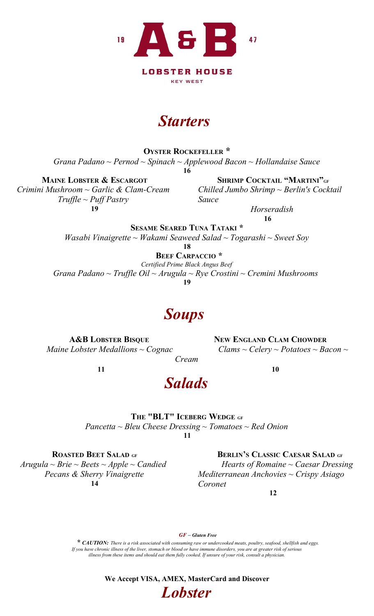

### **Starters**

OYSTER ROCKEFELLER \*

Grana Padano ~ Pernod ~ Spinach ~ Applewood Bacon ~ Hollandaise Sauce

16

 $T\nu$ ffle ~ Puff Pastry Sauce 19 Horseradish

Maine Lobster & Escargot Shrimp Cocktail "Martini" $_{\mathrm{GF}}$ Crimini Mushroom ~ Garlic & Clam-Cream Chilled Jumbo Shrimp ~ Berlin's Cocktail

16

SESAME SEARED TUNA TATAKI \* Wasabi Vinaigrette ~ Wakami Seaweed Salad ~ Togarashi ~ Sweet Soy

18

BEEF CARPACCIO \*

Certified Prime Black Angus Beef

Grana Padano ~ Truffle Oil ~ Arugula ~ Rye Crostini ~ Cremini Mushrooms

19

## **Soups**

A&B LOBSTER BISQUE NEW ENGLAND CLAM CHOWDER Maine Lobster Medallions  $\sim$  Cognac Clams  $\sim$  Celery  $\sim$  Potatoes  $\sim$  Bacon  $\sim$ 

 $11$  10

### Salads

Cream

### THE "BLT" ICEBERG WEDGE GF

Pancetta  $\sim$  Bleu Cheese Dressing  $\sim$  Tomatoes  $\sim$  Red Onion  $11$ 

14 Coronet

ROASTED BEET SALAD GF BERLIN'S CLASSIC CAESAR SALAD GF  $Arugala \sim Brie \sim Beets \sim Apple \sim Candida$  Hearts of Romaine  $\sim Caesar Dressing$ Pecans & Sherry Vinaigrette Mediterranean Anchovies ~ Crispy Asiago

12

GF – Gluten Free

\* CAUTION: There is a risk associated with consuming raw or undercooked meats, poultry, seafood, shellfish and eggs. If you have chronic illness of the liver, stomach or blood or have immune disorders, you are at greater risk of serious illness from these items and should eat them fully cooked. If unsure of your risk, consult a physician.

> We Accept VISA, AMEX, MasterCard and Discover **Lobster**